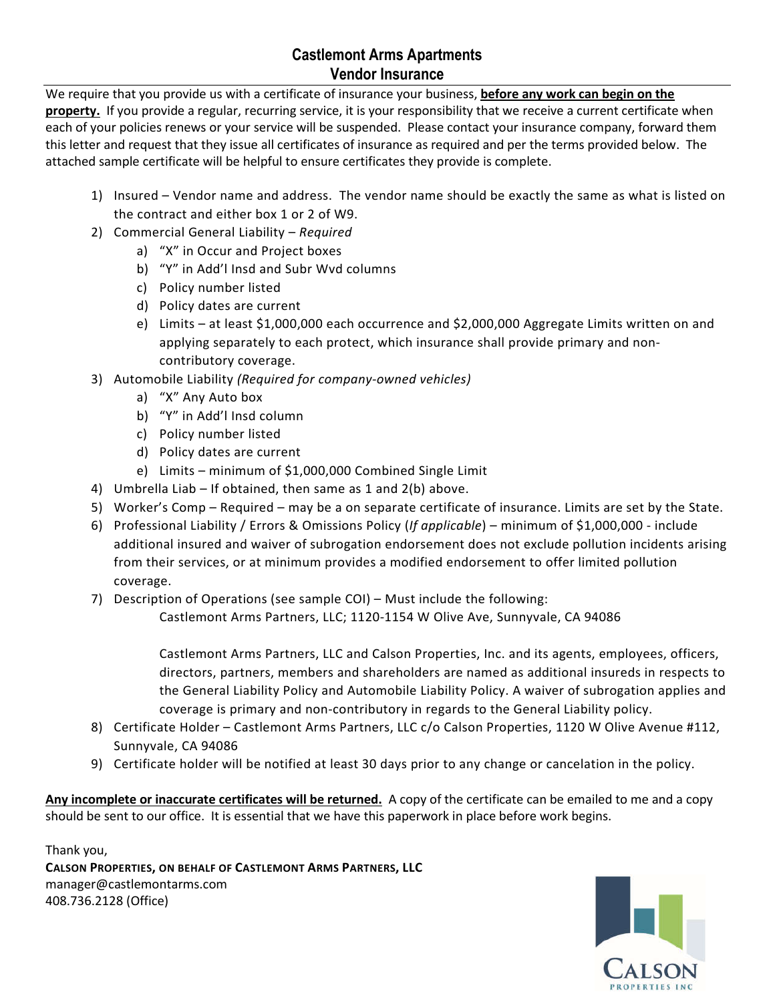## **Castlemont Arms Apartments Vendor Insurance**

We require that you provide us with a certificate of insurance your business, **before any work can begin on the**  property. If you provide a regular, recurring service, it is your responsibility that we receive a current certificate when each of your policies renews or your service will be suspended. Please contact your insurance company, forward them this letter and request that they issue all certificates of insurance as required and per the terms provided below. The attached sample certificate will be helpful to ensure certificates they provide is complete.

- 1) Insured Vendor name and address. The vendor name should be exactly the same as what is listed on the contract and either box 1 or 2 of W9.
- 2) Commercial General Liability *Required*
	- a) "X" in Occur and Project boxes
	- b) "Y" in Add'l Insd and Subr Wvd columns
	- c) Policy number listed
	- d) Policy dates are current
	- e) Limits at least \$1,000,000 each occurrence and \$2,000,000 Aggregate Limits written on and applying separately to each protect, which insurance shall provide primary and noncontributory coverage.
- 3) Automobile Liability *(Required for company-owned vehicles)*
	- a) "X" Any Auto box
	- b) "Y" in Add'l Insd column
	- c) Policy number listed
	- d) Policy dates are current
	- e) Limits minimum of \$1,000,000 Combined Single Limit
- 4) Umbrella Liab If obtained, then same as 1 and 2(b) above.
- 5) Worker's Comp Required may be a on separate certificate of insurance. Limits are set by the State.
- 6) Professional Liability / Errors & Omissions Policy (*If applicable*) minimum of \$1,000,000 include additional insured and waiver of subrogation endorsement does not exclude pollution incidents arising from their services, or at minimum provides a modified endorsement to offer limited pollution coverage.
- 7) Description of Operations (see sample COI) Must include the following:

Castlemont Arms Partners, LLC; 1120-1154 W Olive Ave, Sunnyvale, CA 94086

Castlemont Arms Partners, LLC and Calson Properties, Inc. and its agents, employees, officers, directors, partners, members and shareholders are named as additional insureds in respects to the General Liability Policy and Automobile Liability Policy. A waiver of subrogation applies and coverage is primary and non-contributory in regards to the General Liability policy.

- 8) Certificate Holder Castlemont Arms Partners, LLC c/o Calson Properties, 1120 W Olive Avenue #112, Sunnyvale, CA 94086
- 9) Certificate holder will be notified at least 30 days prior to any change or cancelation in the policy.

**Any incomplete or inaccurate certificates will be returned.** A copy of the certificate can be emailed to me and a copy should be sent to our office. It is essential that we have this paperwork in place before work begins.

Thank you, **CALSON PROPERTIES, ON BEHALF OF CASTLEMONT ARMS PARTNERS, LLC** manager@castlemontarms.com 408.736.2128 (Office)